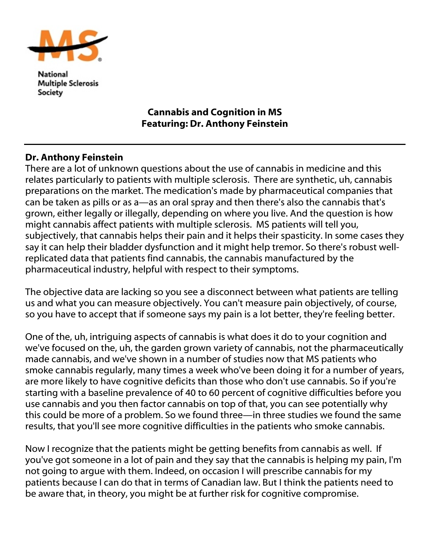

National **Multiple Sclerosis** Society

## Cannabis and Cognition in MS Featuring: Dr. Anthony Feinstein

## Dr. Anthony Feinstein

There are a lot of unknown questions about the use of cannabis in medicine and this relates particularly to patients with multiple sclerosis. There are synthetic, uh, cannabis preparations on the market. The medication's made by pharmaceutical companies that can be taken as pills or as a—as an oral spray and then there's also the cannabis that's grown, either legally or illegally, depending on where you live. And the question is how might cannabis affect patients with multiple sclerosis. MS patients will tell you, subjectively, that cannabis helps their pain and it helps their spasticity. In some cases they say it can help their bladder dysfunction and it might help tremor. So there's robust wellreplicated data that patients find cannabis, the cannabis manufactured by the pharmaceutical industry, helpful with respect to their symptoms.

The objective data are lacking so you see a disconnect between what patients are telling us and what you can measure objectively. You can't measure pain objectively, of course, so you have to accept that if someone says my pain is a lot better, they're feeling better.

One of the, uh, intriguing aspects of cannabis is what does it do to your cognition and we've focused on the, uh, the garden grown variety of cannabis, not the pharmaceutically made cannabis, and we've shown in a number of studies now that MS patients who smoke cannabis regularly, many times a week who've been doing it for a number of years, are more likely to have cognitive deficits than those who don't use cannabis. So if you're starting with a baseline prevalence of 40 to 60 percent of cognitive difficulties before you use cannabis and you then factor cannabis on top of that, you can see potentially why this could be more of a problem. So we found three—in three studies we found the same results, that you'll see more cognitive difficulties in the patients who smoke cannabis.

Now I recognize that the patients might be getting benefits from cannabis as well. If you've got someone in a lot of pain and they say that the cannabis is helping my pain, I'm not going to argue with them. Indeed, on occasion I will prescribe cannabis for my patients because I can do that in terms of Canadian law. But I think the patients need to be aware that, in theory, you might be at further risk for cognitive compromise.